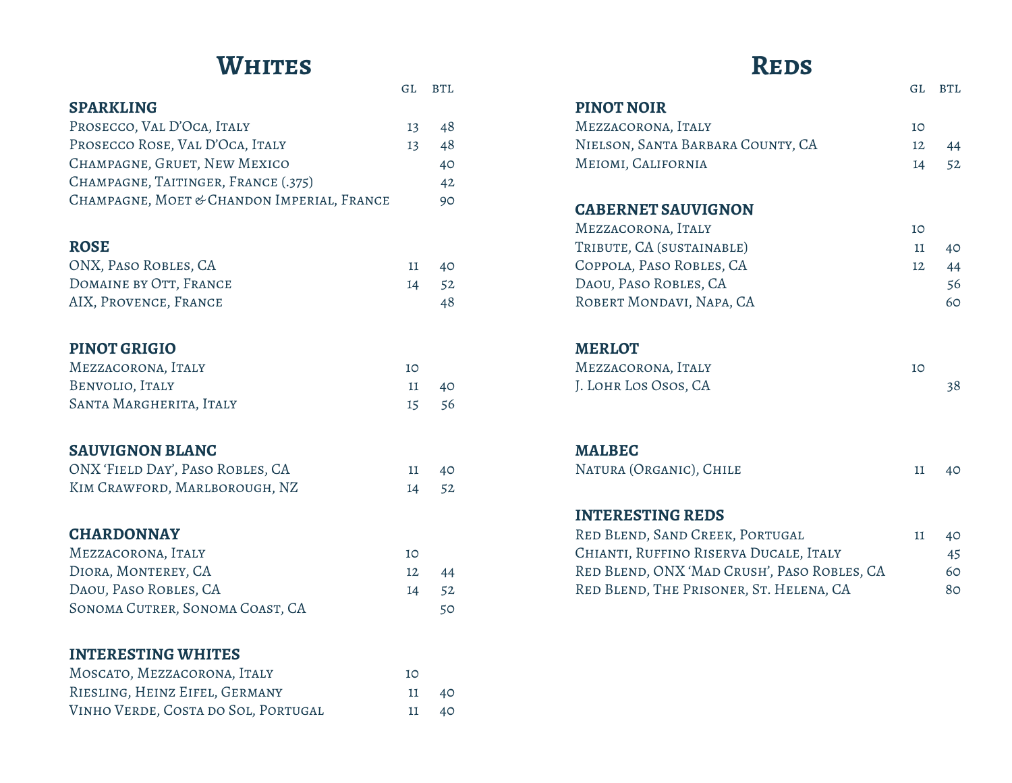### **Whites**

|                                            | GL | <b>BTL</b> |
|--------------------------------------------|----|------------|
| <b>SPARKLING</b>                           |    |            |
| PROSECCO, VAL D'OCA, ITALY                 | 13 | 48         |
| PROSECCO ROSE, VAL D'OCA, ITALY            | 13 | 48         |
| CHAMPAGNE, GRUET, NEW MEXICO               |    | 40         |
| CHAMPAGNE, TAITINGER, FRANCE (.375)        |    | 42         |
| CHAMPAGNE, MOET & CHANDON IMPERIAL, FRANCE |    | 90         |
| <b>ROSE</b>                                |    |            |
| ONX, PASO ROBLES, CA                       | 11 | 40         |
| DOMAINE BY OTT, FRANCE                     | 14 | 52         |
| AIX, PROVENCE, FRANCE                      |    | 48         |
|                                            |    |            |
| <b>PINOT GRIGIO</b>                        |    |            |
| MEZZACORONA, ITALY                         | 10 |            |
| BENVOLIO, ITALY                            | 11 | 40         |
| SANTA MARGHERITA, ITALY                    | 15 | 56         |
|                                            |    |            |
| <b>SAUVIGNON BLANC</b>                     |    |            |
| ONX 'FIELD DAY', PASO ROBLES, CA           | 11 | 40         |
| KIM CRAWFORD, MARLBOROUGH, NZ              | 14 | 52         |
| <b>CHARDONNAY</b>                          |    |            |
| MEZZACORONA, ITALY                         | 10 |            |
| DIORA, MONTEREY, CA                        | 12 | 44         |
| DAOU, PASO ROBLES, CA                      | 14 | 52         |
| SONOMA CUTRER, SONOMA COAST, CA            |    | 50         |
|                                            |    |            |
| <b>INTERESTING WHITES</b>                  |    |            |
| MOSCATO, MEZZACORONA, ITALY                | 10 |            |
| RIESLING, HEINZ EIFEL, GERMANY             | 11 | 40         |
| VINHO VERDE, COSTA DO SOL, PORTUGAL        | 11 | 40         |

### **D**rnc

| IVEIDD                                 |    |            |
|----------------------------------------|----|------------|
|                                        | GL | <b>BTL</b> |
| <b>PINOT NOIR</b>                      |    |            |
| MEZZACORONA, ITALY                     | 10 |            |
| NIELSON, SANTA BARBARA COUNTY, CA      | 12 | 44         |
| MEIOMI, CALIFORNIA                     | 14 | 52         |
| <b>CABERNET SAUVIGNON</b>              |    |            |
| MEZZACORONA, ITALY                     | 10 |            |
| TRIBUTE, CA (SUSTAINABLE)              | 11 | 40         |
| COPPOLA, PASO ROBLES, CA               | 12 | 44         |
| DAOU, PASO ROBLES, CA                  |    | 56         |
| ROBERT MONDAVI, NAPA, CA               |    | 60         |
| <b>MERLOT</b>                          |    |            |
| MEZZACORONA, ITALY                     | 10 |            |
| J. LOHR LOS OSOS, CA                   |    | 38         |
| <b>MALBEC</b>                          |    |            |
| NATURA (ORGANIC), CHILE                | 11 | 40         |
|                                        |    |            |
| <b>INTERESTING REDS</b>                |    |            |
| RED BLEND, SAND CREEK, PORTUGAL        | 11 | 40         |
| CHIANTI, RUFFINO RISERVA DUCALE, ITALY |    | 45         |

RED BLEND, ONX 'MAD CRUSH', PASO ROBLES, CA 60 RED BLEND, THE PRISONER, ST. HELENA, CA 80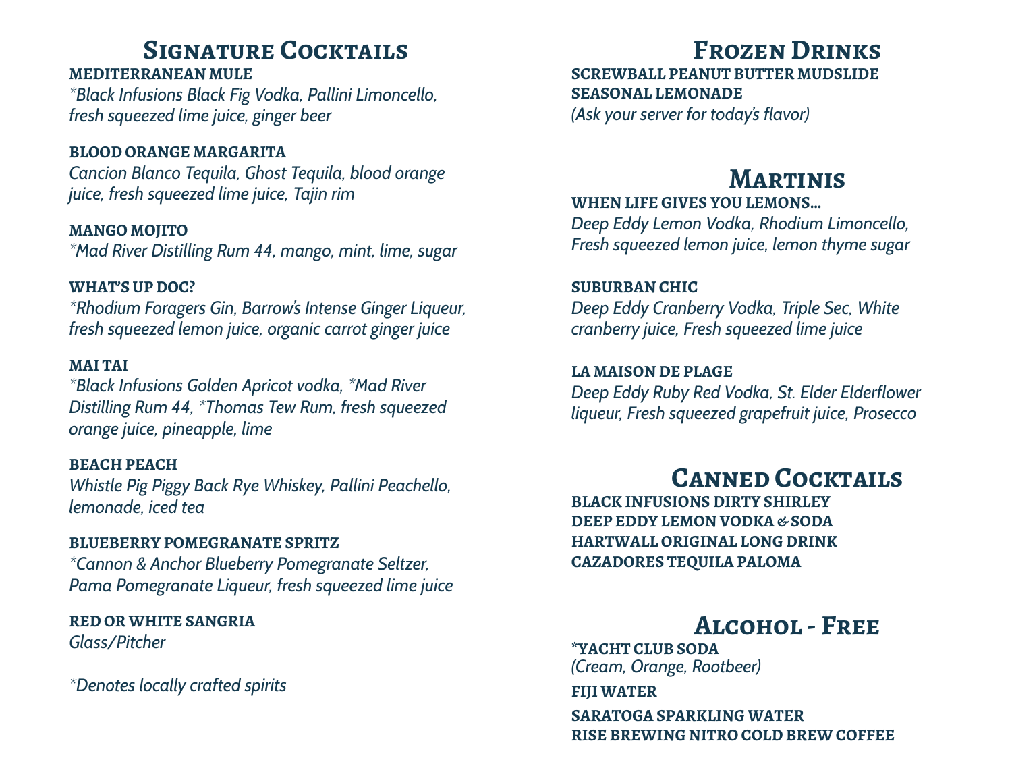### **Signature Cocktails**

#### **MEDITERRANEAN MULE**

*\*Black Infusions Black Fig Vodka, Pallini Limoncello, fresh squeezed lime juice, ginger beer*

#### **BLOOD ORANGE MARGARITA**

*Cancion Blanco Tequila, Ghost Tequila, blood orange juice, fresh squeezed lime juice, Tajin rim*

**MANGO MOJITO** *\*Mad River Distilling Rum 44, mango, mint, lime, sugar*

#### **WHAT'S UP DOC?**

*\*Rhodium Foragers Gin, Barrow's Intense Ginger Liqueur, fresh squeezed lemon juice, organic carrot ginger juice*

#### **MAI TAI**

*\*Black Infusions Golden Apricot vodka, \*Mad River Distilling Rum 44, \*Thomas Tew Rum, fresh squeezed orange juice, pineapple, lime*

#### **BEACH PEACH**

*Whistle Pig Piggy Back Rye Whiskey, Pallini Peachello, lemonade, iced tea*

#### **BLUEBERRY POMEGRANATE SPRITZ**

*\*Cannon & Anchor Blueberry Pomegranate Seltzer, Pama Pomegranate Liqueur, fresh squeezed lime juice*

**RED OR WHITE SANGRIA** *Glass/Pitcher*

*\*Denotes locally crafted spirits*

# **Frozen Drinks**

**SCREWBALL PEANUT BUTTER MUDSLIDE SEASONAL LEMONADE**

*(Ask your server for today's flavor)*

### **Martinis**

#### **WHEN LIFE GIVES YOU LEMONS…**

*Deep Eddy Lemon Vodka, Rhodium Limoncello, Fresh squeezed lemon juice, lemon thyme sugar*

#### **SUBURBAN CHIC**

*Deep Eddy Cranberry Vodka, Triple Sec, White cranberry juice, Fresh squeezed lime juice*

#### **LA MAISON DE PLAGE**

*Deep Eddy Ruby Red Vodka, St. Elder Elderflower liqueur, Fresh squeezed grapefruit juice, Prosecco*

# **Canned Cocktails**

**BLACK INFUSIONS DIRTY SHIRLEY DEEP EDDY LEMON VODKA & SODA HARTWALL ORIGINAL LONG DRINK CAZADORES TEQUILA PALOMA**

# **Alcohol - Free**

**\*YACHT CLUB SODA** *(Cream, Orange, Rootbeer)*

**FIJI WATER** 

**SARATOGA SPARKLING WATER RISE BREWING NITRO COLD BREW COFFEE**